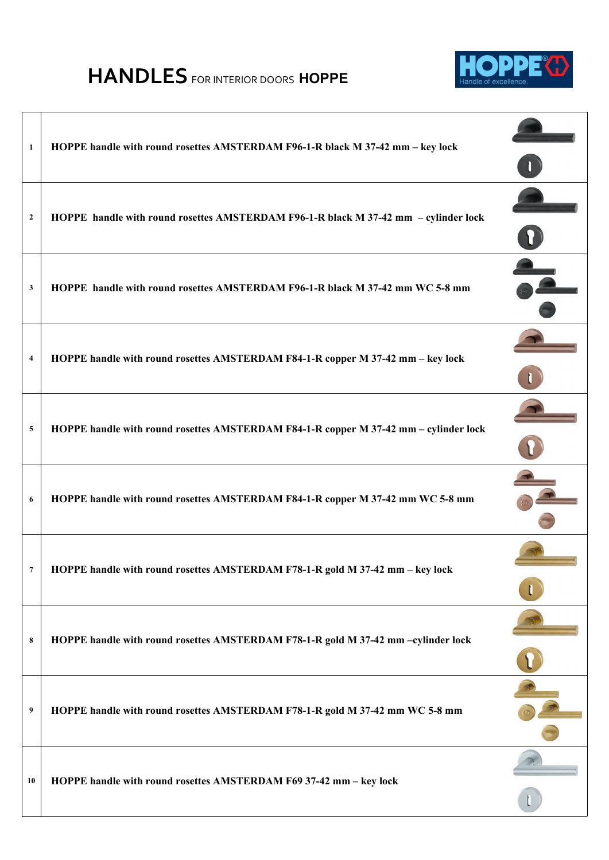## **HANDLES** FOR INTERIOR DOORS **HOPPE**



| $\mathbf{1}$   | HOPPE handle with round rosettes AMSTERDAM F96-1-R black M 37-42 mm - key lock       |  |
|----------------|--------------------------------------------------------------------------------------|--|
| $\overline{2}$ | HOPPE handle with round rosettes AMSTERDAM F96-1-R black M 37-42 mm - cylinder lock  |  |
| 3              | HOPPE handle with round rosettes AMSTERDAM F96-1-R black M 37-42 mm WC 5-8 mm        |  |
| $\overline{4}$ | HOPPE handle with round rosettes AMSTERDAM F84-1-R copper M 37-42 mm - key lock      |  |
| 5              | HOPPE handle with round rosettes AMSTERDAM F84-1-R copper M 37-42 mm - cylinder lock |  |
| 6              | HOPPE handle with round rosettes AMSTERDAM F84-1-R copper M 37-42 mm WC 5-8 mm       |  |
| $\overline{7}$ | HOPPE handle with round rosettes AMSTERDAM F78-1-R gold M 37-42 mm - key lock        |  |
| 8              | HOPPE handle with round rosettes AMSTERDAM F78-1-R gold M 37-42 mm -cylinder lock    |  |
| 9              | HOPPE handle with round rosettes AMSTERDAM F78-1-R gold M 37-42 mm WC 5-8 mm         |  |
| 10             | HOPPE handle with round rosettes AMSTERDAM F69 37-42 mm - key lock                   |  |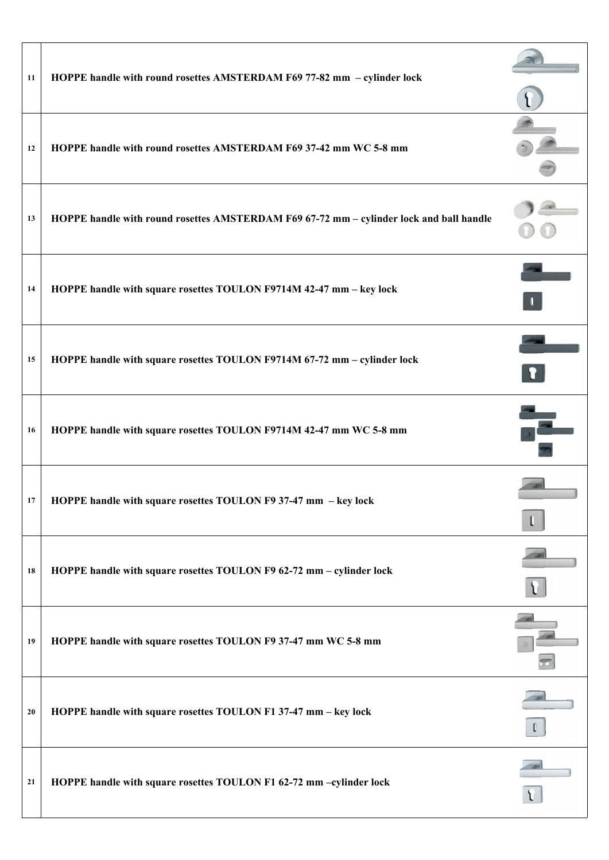| 11 | HOPPE handle with round rosettes AMSTERDAM F69 77-82 mm - cylinder lock                 |              |
|----|-----------------------------------------------------------------------------------------|--------------|
| 12 | HOPPE handle with round rosettes AMSTERDAM F69 37-42 mm WC 5-8 mm                       |              |
| 13 | HOPPE handle with round rosettes AMSTERDAM F69 67-72 mm - cylinder lock and ball handle |              |
| 14 | HOPPE handle with square rosettes TOULON F9714M 42-47 mm - key lock                     |              |
| 15 | HOPPE handle with square rosettes TOULON F9714M 67-72 mm - cylinder lock                | $\mathbf{r}$ |
| 16 | HOPPE handle with square rosettes TOULON F9714M 42-47 mm WC 5-8 mm                      |              |
| 17 | HOPPE handle with square rosettes TOULON F9 37-47 mm - key lock                         |              |
| 18 | HOPPE handle with square rosettes TOULON F9 62-72 mm - cylinder lock                    |              |
| 19 | HOPPE handle with square rosettes TOULON F9 37-47 mm WC 5-8 mm                          |              |
| 20 | HOPPE handle with square rosettes TOULON F1 37-47 mm - key lock                         |              |
| 21 | HOPPE handle with square rosettes TOULON F1 62-72 mm -cylinder lock                     |              |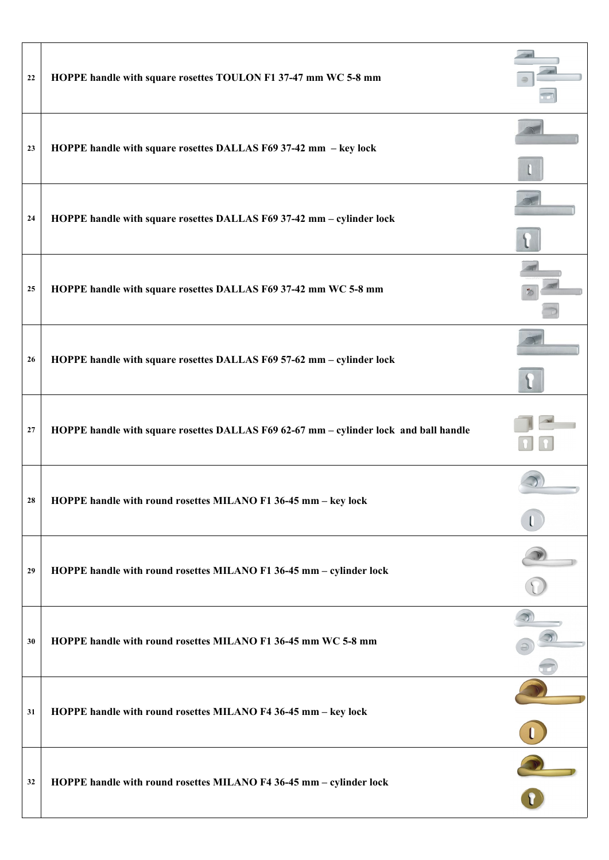| 22 | HOPPE handle with square rosettes TOULON F1 37-47 mm WC 5-8 mm                        |  |
|----|---------------------------------------------------------------------------------------|--|
| 23 | HOPPE handle with square rosettes DALLAS F69 37-42 mm - key lock                      |  |
| 24 | HOPPE handle with square rosettes DALLAS F69 37-42 mm - cylinder lock                 |  |
| 25 | HOPPE handle with square rosettes DALLAS F69 37-42 mm WC 5-8 mm                       |  |
| 26 | HOPPE handle with square rosettes DALLAS F69 57-62 mm - cylinder lock                 |  |
| 27 | HOPPE handle with square rosettes DALLAS F69 62-67 mm - cylinder lock and ball handle |  |
| 28 | HOPPE handle with round rosettes MILANO F1 36-45 mm - key lock                        |  |
| 29 | HOPPE handle with round rosettes MILANO F1 36-45 mm - cylinder lock                   |  |
| 30 | HOPPE handle with round rosettes MILANO F1 36-45 mm WC 5-8 mm                         |  |
| 31 | HOPPE handle with round rosettes MILANO F4 36-45 mm - key lock                        |  |
| 32 | HOPPE handle with round rosettes MILANO F4 36-45 mm - cylinder lock                   |  |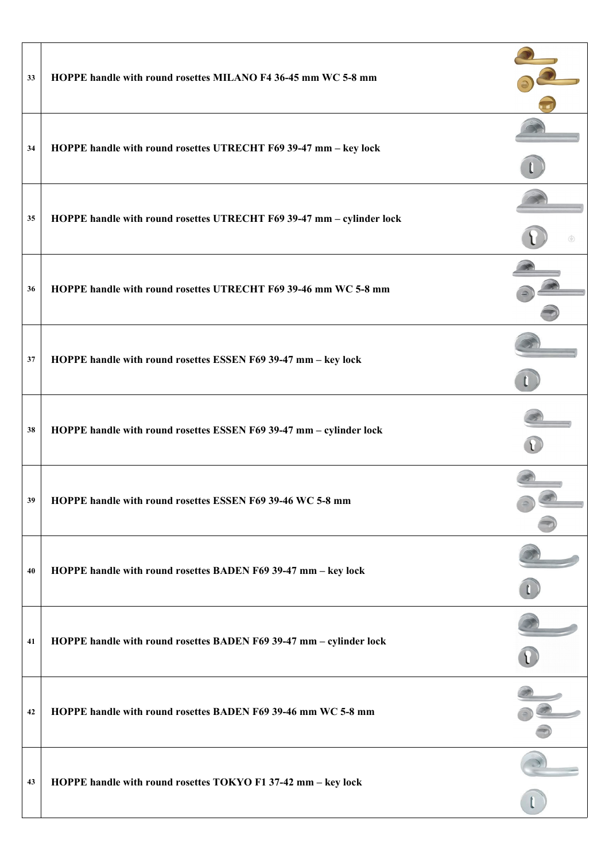| 33 | HOPPE handle with round rosettes MILANO F4 36-45 mm WC 5-8 mm         |  |
|----|-----------------------------------------------------------------------|--|
| 34 | HOPPE handle with round rosettes UTRECHT F69 39-47 mm - key lock      |  |
| 35 | HOPPE handle with round rosettes UTRECHT F69 39-47 mm - cylinder lock |  |
| 36 | HOPPE handle with round rosettes UTRECHT F69 39-46 mm WC 5-8 mm       |  |
| 37 | HOPPE handle with round rosettes ESSEN F69 39-47 mm - key lock        |  |
| 38 | HOPPE handle with round rosettes ESSEN F69 39-47 mm - cylinder lock   |  |
| 39 | HOPPE handle with round rosettes ESSEN F69 39-46 WC 5-8 mm            |  |
| 40 | HOPPE handle with round rosettes BADEN F69 39-47 mm - key lock        |  |
| 41 | HOPPE handle with round rosettes BADEN F69 39-47 mm - cylinder lock   |  |
| 42 | HOPPE handle with round rosettes BADEN F69 39-46 mm WC 5-8 mm         |  |
| 43 | HOPPE handle with round rosettes TOKYO F1 37-42 mm - key lock         |  |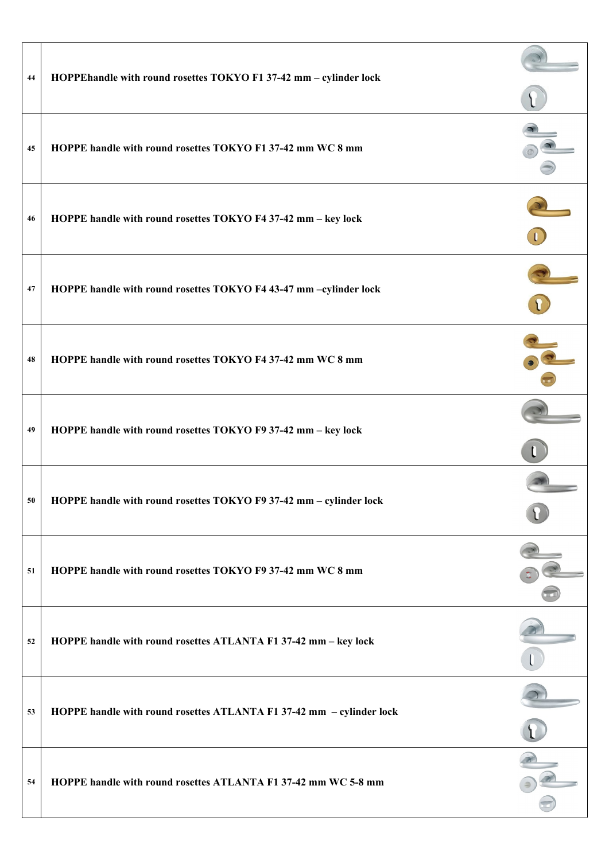| 44 | HOPPEhandle with round rosettes TOKYO F1 37-42 mm - cylinder lock    |  |
|----|----------------------------------------------------------------------|--|
| 45 | HOPPE handle with round rosettes TOKYO F1 37-42 mm WC 8 mm           |  |
| 46 | HOPPE handle with round rosettes TOKYO F4 37-42 mm - key lock        |  |
| 47 | HOPPE handle with round rosettes TOKYO F4 43-47 mm -cylinder lock    |  |
| 48 | HOPPE handle with round rosettes TOKYO F4 37-42 mm WC 8 mm           |  |
| 49 | HOPPE handle with round rosettes TOKYO F9 37-42 mm - key lock        |  |
| 50 | HOPPE handle with round rosettes TOKYO F9 37-42 mm - cylinder lock   |  |
| 51 | HOPPE handle with round rosettes TOKYO F9 37-42 mm WC 8 mm           |  |
| 52 | HOPPE handle with round rosettes ATLANTA F1 37-42 mm - key lock      |  |
| 53 | HOPPE handle with round rosettes ATLANTA F1 37-42 mm - cylinder lock |  |
| 54 | HOPPE handle with round rosettes ATLANTA F1 37-42 mm WC 5-8 mm       |  |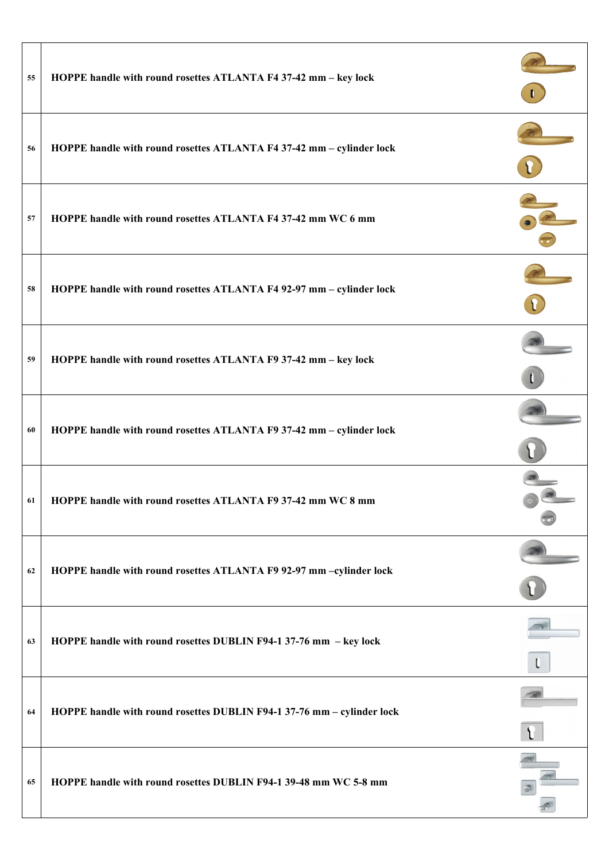| 55 | HOPPE handle with round rosettes ATLANTA F4 37-42 mm - key lock        |  |
|----|------------------------------------------------------------------------|--|
| 56 | HOPPE handle with round rosettes ATLANTA F4 37-42 mm - cylinder lock   |  |
| 57 | HOPPE handle with round rosettes ATLANTA F4 37-42 mm WC 6 mm           |  |
| 58 | HOPPE handle with round rosettes ATLANTA F4 92-97 mm - cylinder lock   |  |
| 59 | HOPPE handle with round rosettes ATLANTA F9 37-42 mm - key lock        |  |
| 60 | HOPPE handle with round rosettes ATLANTA F9 37-42 mm - cylinder lock   |  |
| 61 | HOPPE handle with round rosettes ATLANTA F9 37-42 mm WC 8 mm           |  |
| 62 | HOPPE handle with round rosettes ATLANTA F9 92-97 mm -cylinder lock    |  |
| 63 | HOPPE handle with round rosettes DUBLIN F94-1 37-76 mm - key lock      |  |
| 64 | HOPPE handle with round rosettes DUBLIN F94-1 37-76 mm - cylinder lock |  |
| 65 | HOPPE handle with round rosettes DUBLIN F94-1 39-48 mm WC 5-8 mm       |  |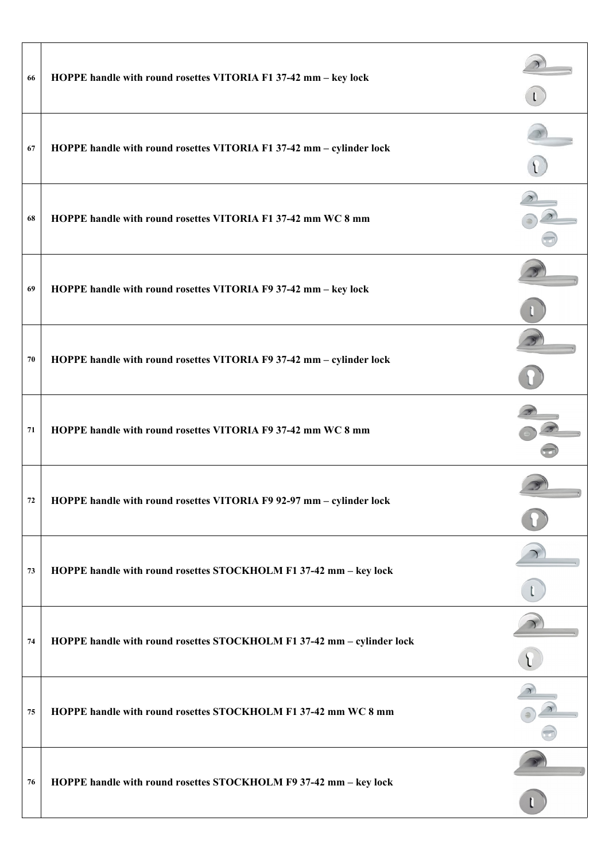| 66 | HOPPE handle with round rosettes VITORIA F1 37-42 mm - key lock        |  |
|----|------------------------------------------------------------------------|--|
| 67 | HOPPE handle with round rosettes VITORIA F1 37-42 mm - cylinder lock   |  |
| 68 | HOPPE handle with round rosettes VITORIA F1 37-42 mm WC 8 mm           |  |
| 69 | HOPPE handle with round rosettes VITORIA F9 37-42 mm - key lock        |  |
| 70 | HOPPE handle with round rosettes VITORIA F9 37-42 mm - cylinder lock   |  |
| 71 | HOPPE handle with round rosettes VITORIA F9 37-42 mm WC 8 mm           |  |
| 72 | HOPPE handle with round rosettes VITORIA F9 92-97 mm - cylinder lock   |  |
| 73 | HOPPE handle with round rosettes STOCKHOLM F1 37-42 mm - key lock      |  |
| 74 | HOPPE handle with round rosettes STOCKHOLM F1 37-42 mm - cylinder lock |  |
| 75 | HOPPE handle with round rosettes STOCKHOLM F1 37-42 mm WC 8 mm         |  |
| 76 | HOPPE handle with round rosettes STOCKHOLM F9 37-42 mm - key lock      |  |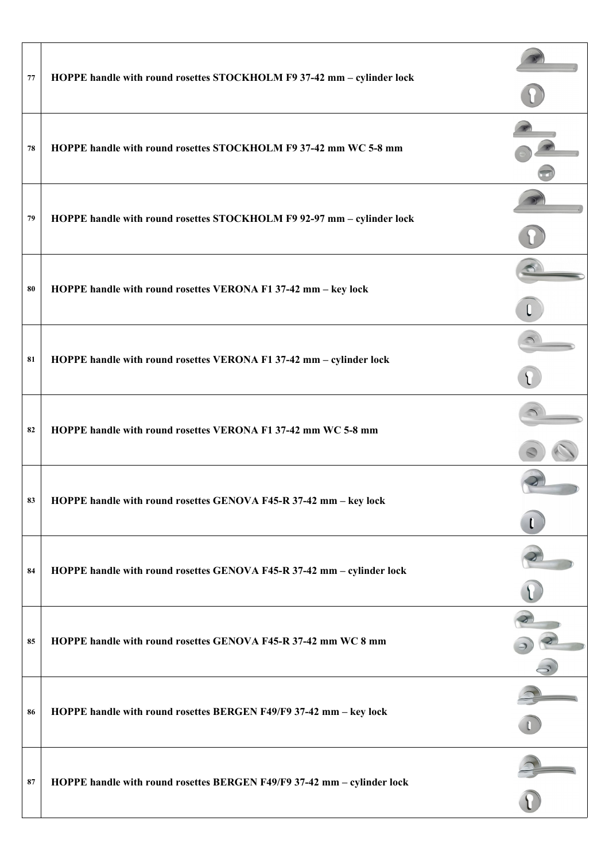| 77 | HOPPE handle with round rosettes STOCKHOLM F9 37-42 mm - cylinder lock  |  |
|----|-------------------------------------------------------------------------|--|
| 78 | HOPPE handle with round rosettes STOCKHOLM F9 37-42 mm WC 5-8 mm        |  |
| 79 | HOPPE handle with round rosettes STOCKHOLM F9 92-97 mm - cylinder lock  |  |
| 80 | HOPPE handle with round rosettes VERONA F1 37-42 mm - key lock          |  |
| 81 | HOPPE handle with round rosettes VERONA F1 37-42 mm - cylinder lock     |  |
| 82 | HOPPE handle with round rosettes VERONA F1 37-42 mm WC 5-8 mm           |  |
| 83 | HOPPE handle with round rosettes GENOVA F45-R 37-42 mm - key lock       |  |
| 84 | HOPPE handle with round rosettes GENOVA F45-R 37-42 mm - cylinder lock  |  |
| 85 | HOPPE handle with round rosettes GENOVA F45-R 37-42 mm WC 8 mm          |  |
| 86 | HOPPE handle with round rosettes BERGEN F49/F9 37-42 mm - key lock      |  |
| 87 | HOPPE handle with round rosettes BERGEN F49/F9 37-42 mm - cylinder lock |  |